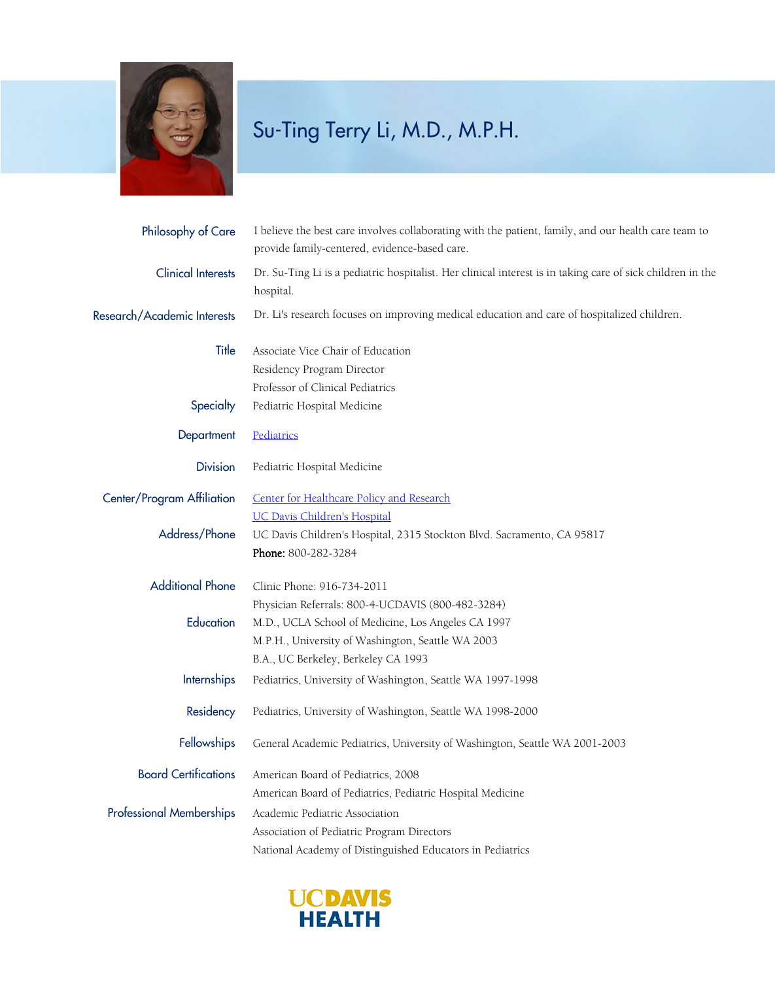

## Su-Ting Terry Li, M.D., M.P.H.

| Philosophy of Care              | I believe the best care involves collaborating with the patient, family, and our health care team to<br>provide family-centered, evidence-based care. |
|---------------------------------|-------------------------------------------------------------------------------------------------------------------------------------------------------|
| <b>Clinical Interests</b>       | Dr. Su-Ting Li is a pediatric hospitalist. Her clinical interest is in taking care of sick children in the<br>hospital.                               |
| Research/Academic Interests     | Dr. Li's research focuses on improving medical education and care of hospitalized children.                                                           |
| Title                           | Associate Vice Chair of Education                                                                                                                     |
|                                 | Residency Program Director                                                                                                                            |
|                                 | Professor of Clinical Pediatrics                                                                                                                      |
| Specialty                       | Pediatric Hospital Medicine                                                                                                                           |
| Department                      | Pediatrics                                                                                                                                            |
| <b>Division</b>                 | Pediatric Hospital Medicine                                                                                                                           |
| Center/Program Affiliation      | Center for Healthcare Policy and Research                                                                                                             |
|                                 | <b>UC Davis Children's Hospital</b>                                                                                                                   |
| Address/Phone                   | UC Davis Children's Hospital, 2315 Stockton Blvd. Sacramento, CA 95817                                                                                |
|                                 | Phone: 800-282-3284                                                                                                                                   |
| <b>Additional Phone</b>         | Clinic Phone: 916-734-2011                                                                                                                            |
|                                 | Physician Referrals: 800-4-UCDAVIS (800-482-3284)                                                                                                     |
| Education                       | M.D., UCLA School of Medicine, Los Angeles CA 1997                                                                                                    |
|                                 | M.P.H., University of Washington, Seattle WA 2003                                                                                                     |
|                                 | B.A., UC Berkeley, Berkeley CA 1993                                                                                                                   |
| <b>Internships</b>              | Pediatrics, University of Washington, Seattle WA 1997-1998                                                                                            |
| Residency                       | Pediatrics, University of Washington, Seattle WA 1998-2000                                                                                            |
| <b>Fellowships</b>              | General Academic Pediatrics, University of Washington, Seattle WA 2001-2003                                                                           |
| <b>Board Certifications</b>     | American Board of Pediatrics, 2008                                                                                                                    |
|                                 | American Board of Pediatrics, Pediatric Hospital Medicine                                                                                             |
| <b>Professional Memberships</b> | Academic Pediatric Association                                                                                                                        |
|                                 | Association of Pediatric Program Directors                                                                                                            |
|                                 | National Academy of Distinguished Educators in Pediatrics                                                                                             |
|                                 |                                                                                                                                                       |

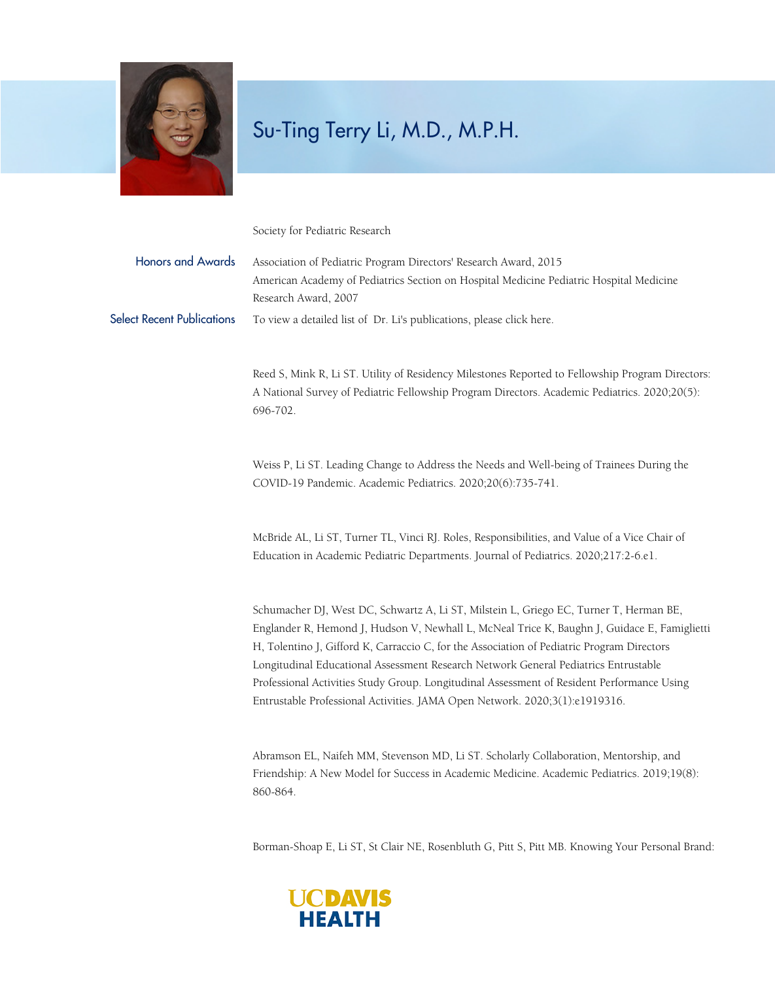

## Su-Ting Terry Li, M.D., M.P.H.

Society for Pediatric Research

| <b>Honors and Awards</b>          | Association of Pediatric Program Directors' Research Award, 2015<br>American Academy of Pediatrics Section on Hospital Medicine Pediatric Hospital Medicine<br>Research Award, 2007                                                                                                                                                                                                                                                                                                                                                                      |
|-----------------------------------|----------------------------------------------------------------------------------------------------------------------------------------------------------------------------------------------------------------------------------------------------------------------------------------------------------------------------------------------------------------------------------------------------------------------------------------------------------------------------------------------------------------------------------------------------------|
| <b>Select Recent Publications</b> | To view a detailed list of Dr. Li's publications, please click here.                                                                                                                                                                                                                                                                                                                                                                                                                                                                                     |
|                                   | Reed S, Mink R, Li ST. Utility of Residency Milestones Reported to Fellowship Program Directors:<br>A National Survey of Pediatric Fellowship Program Directors. Academic Pediatrics. 2020;20(5):<br>696-702.                                                                                                                                                                                                                                                                                                                                            |
|                                   | Weiss P, Li ST. Leading Change to Address the Needs and Well-being of Trainees During the<br>COVID-19 Pandemic. Academic Pediatrics. 2020;20(6):735-741.                                                                                                                                                                                                                                                                                                                                                                                                 |
|                                   | McBride AL, Li ST, Turner TL, Vinci RJ. Roles, Responsibilities, and Value of a Vice Chair of<br>Education in Academic Pediatric Departments. Journal of Pediatrics. 2020;217:2-6.e1.                                                                                                                                                                                                                                                                                                                                                                    |
|                                   | Schumacher DJ, West DC, Schwartz A, Li ST, Milstein L, Griego EC, Turner T, Herman BE,<br>Englander R, Hemond J, Hudson V, Newhall L, McNeal Trice K, Baughn J, Guidace E, Famiglietti<br>H, Tolentino J, Gifford K, Carraccio C, for the Association of Pediatric Program Directors<br>Longitudinal Educational Assessment Research Network General Pediatrics Entrustable<br>Professional Activities Study Group. Longitudinal Assessment of Resident Performance Using<br>Entrustable Professional Activities. JAMA Open Network. 2020;3(1):e1919316. |
|                                   | Abramson EL, Naifeh MM, Stevenson MD, Li ST. Scholarly Collaboration, Mentorship, and<br>Friendship: A New Model for Success in Academic Medicine. Academic Pediatrics. 2019;19(8):<br>860-864.                                                                                                                                                                                                                                                                                                                                                          |
|                                   |                                                                                                                                                                                                                                                                                                                                                                                                                                                                                                                                                          |

Borman-Shoap E, Li ST, St Clair NE, Rosenbluth G, Pitt S, Pitt MB. Knowing Your Personal Brand: